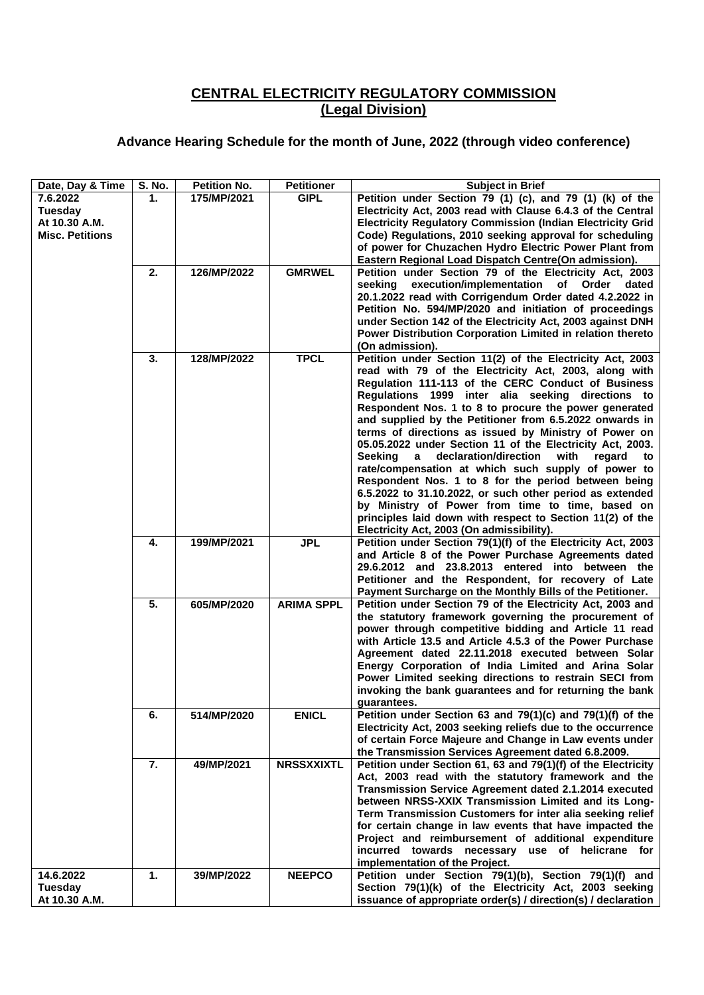## **CENTRAL ELECTRICITY REGULATORY COMMISSION (Legal Division)**

## **Advance Hearing Schedule for the month of June, 2022 (through video conference)**

| Date, Day & Time       | <b>S. No.</b> | <b>Petition No.</b> | <b>Petitioner</b> | <b>Subject in Brief</b>                                                                                                  |
|------------------------|---------------|---------------------|-------------------|--------------------------------------------------------------------------------------------------------------------------|
| 7.6.2022<br>Tuesday    | 1.            | 175/MP/2021         | <b>GIPL</b>       | Petition under Section 79 (1) (c), and 79 (1) (k) of the<br>Electricity Act, 2003 read with Clause 6.4.3 of the Central  |
| At 10.30 A.M.          |               |                     |                   | <b>Electricity Regulatory Commission (Indian Electricity Grid</b>                                                        |
| <b>Misc. Petitions</b> |               |                     |                   | Code) Regulations, 2010 seeking approval for scheduling                                                                  |
|                        |               |                     |                   | of power for Chuzachen Hydro Electric Power Plant from<br>Eastern Regional Load Dispatch Centre(On admission).           |
|                        | 2.            | 126/MP/2022         | <b>GMRWEL</b>     | Petition under Section 79 of the Electricity Act, 2003                                                                   |
|                        |               |                     |                   | seeking<br>execution/implementation of Order<br>dated<br>20.1.2022 read with Corrigendum Order dated 4.2.2022 in         |
|                        |               |                     |                   | Petition No. 594/MP/2020 and initiation of proceedings                                                                   |
|                        |               |                     |                   | under Section 142 of the Electricity Act, 2003 against DNH<br>Power Distribution Corporation Limited in relation thereto |
|                        |               |                     |                   | (On admission).                                                                                                          |
|                        | 3.            | 128/MP/2022         | <b>TPCL</b>       | Petition under Section 11(2) of the Electricity Act, 2003<br>read with 79 of the Electricity Act, 2003, along with       |
|                        |               |                     |                   | Regulation 111-113 of the CERC Conduct of Business                                                                       |
|                        |               |                     |                   | Regulations 1999 inter alia seeking directions to<br>Respondent Nos. 1 to 8 to procure the power generated               |
|                        |               |                     |                   | and supplied by the Petitioner from 6.5.2022 onwards in                                                                  |
|                        |               |                     |                   | terms of directions as issued by Ministry of Power on<br>05.05.2022 under Section 11 of the Electricity Act, 2003.       |
|                        |               |                     |                   | declaration/direction<br>with<br>Seekina<br>a<br>regard<br>to                                                            |
|                        |               |                     |                   | rate/compensation at which such supply of power to<br>Respondent Nos. 1 to 8 for the period between being                |
|                        |               |                     |                   | 6.5.2022 to 31.10.2022, or such other period as extended                                                                 |
|                        |               |                     |                   | by Ministry of Power from time to time, based on                                                                         |
|                        |               |                     |                   | principles laid down with respect to Section 11(2) of the<br>Electricity Act, 2003 (On admissibility).                   |
|                        | 4.            | 199/MP/2021         | <b>JPL</b>        | Petition under Section 79(1)(f) of the Electricity Act, 2003                                                             |
|                        |               |                     |                   | and Article 8 of the Power Purchase Agreements dated<br>29.6.2012 and 23.8.2013 entered into between the                 |
|                        |               |                     |                   | Petitioner and the Respondent, for recovery of Late                                                                      |
|                        | 5.            | 605/MP/2020         | <b>ARIMA SPPL</b> | Payment Surcharge on the Monthly Bills of the Petitioner.<br>Petition under Section 79 of the Electricity Act, 2003 and  |
|                        |               |                     |                   | the statutory framework governing the procurement of                                                                     |
|                        |               |                     |                   | power through competitive bidding and Article 11 read<br>with Article 13.5 and Article 4.5.3 of the Power Purchase       |
|                        |               |                     |                   | Agreement dated 22.11.2018 executed between Solar                                                                        |
|                        |               |                     |                   | Energy Corporation of India Limited and Arina Solar<br>Power Limited seeking directions to restrain SECI from            |
|                        |               |                     |                   | invoking the bank guarantees and for returning the bank                                                                  |
|                        | 6.            | 514/MP/2020         | <b>ENICL</b>      | guarantees.<br>Petition under Section 63 and 79(1)(c) and 79(1)(f) of the                                                |
|                        |               |                     |                   | Electricity Act, 2003 seeking reliefs due to the occurrence                                                              |
|                        |               |                     |                   | of certain Force Majeure and Change in Law events under<br>the Transmission Services Agreement dated 6.8.2009.           |
|                        | 7.            | 49/MP/2021          | <b>NRSSXXIXTL</b> | Petition under Section 61, 63 and 79(1)(f) of the Electricity                                                            |
|                        |               |                     |                   | Act, 2003 read with the statutory framework and the<br>Transmission Service Agreement dated 2.1.2014 executed            |
|                        |               |                     |                   | between NRSS-XXIX Transmission Limited and its Long-                                                                     |
|                        |               |                     |                   | Term Transmission Customers for inter alia seeking relief                                                                |
|                        |               |                     |                   | for certain change in law events that have impacted the<br>Project and reimbursement of additional expenditure           |
|                        |               |                     |                   | incurred towards necessary use of helicrane for                                                                          |
| 14.6.2022              | 1.            | 39/MP/2022          | <b>NEEPCO</b>     | implementation of the Project.<br>Petition under Section 79(1)(b), Section 79(1)(f) and                                  |
| <b>Tuesday</b>         |               |                     |                   | Section 79(1)(k) of the Electricity Act, 2003 seeking                                                                    |
| At 10.30 A.M.          |               |                     |                   | issuance of appropriate order(s) / direction(s) / declaration                                                            |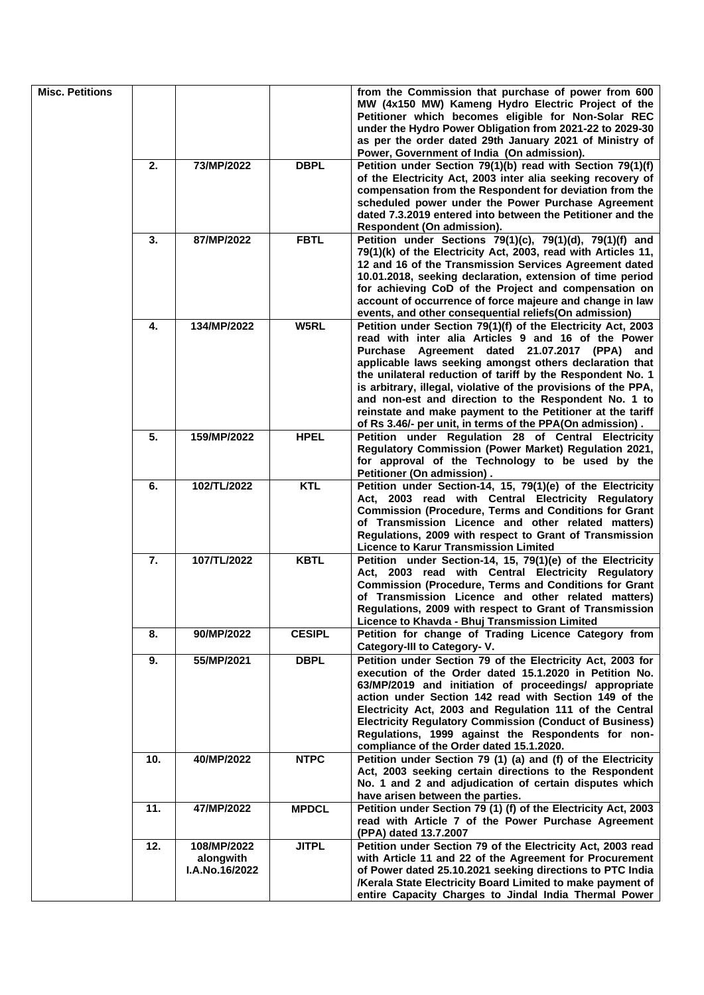| <b>Misc. Petitions</b> |     |                                            |               | from the Commission that purchase of power from 600<br>MW (4x150 MW) Kameng Hydro Electric Project of the<br>Petitioner which becomes eligible for Non-Solar REC<br>under the Hydro Power Obligation from 2021-22 to 2029-30                                                                                                                                                                                                                                                                                                                       |
|------------------------|-----|--------------------------------------------|---------------|----------------------------------------------------------------------------------------------------------------------------------------------------------------------------------------------------------------------------------------------------------------------------------------------------------------------------------------------------------------------------------------------------------------------------------------------------------------------------------------------------------------------------------------------------|
|                        |     |                                            |               | as per the order dated 29th January 2021 of Ministry of<br>Power, Government of India (On admission).                                                                                                                                                                                                                                                                                                                                                                                                                                              |
|                        | 2.  | 73/MP/2022                                 | <b>DBPL</b>   | Petition under Section 79(1)(b) read with Section 79(1)(f)<br>of the Electricity Act, 2003 inter alia seeking recovery of<br>compensation from the Respondent for deviation from the<br>scheduled power under the Power Purchase Agreement<br>dated 7.3.2019 entered into between the Petitioner and the<br>Respondent (On admission).                                                                                                                                                                                                             |
|                        | 3.  | 87/MP/2022                                 | <b>FBTL</b>   | Petition under Sections 79(1)(c), 79(1)(d), 79(1)(f) and<br>79(1)(k) of the Electricity Act, 2003, read with Articles 11,<br>12 and 16 of the Transmission Services Agreement dated<br>10.01.2018, seeking declaration, extension of time period<br>for achieving CoD of the Project and compensation on<br>account of occurrence of force majeure and change in law<br>events, and other consequential reliefs (On admission)                                                                                                                     |
|                        | 4.  | 134/MP/2022                                | W5RL          | Petition under Section 79(1)(f) of the Electricity Act, 2003<br>read with inter alia Articles 9 and 16 of the Power<br>Purchase Agreement dated 21.07.2017 (PPA) and<br>applicable laws seeking amongst others declaration that<br>the unilateral reduction of tariff by the Respondent No. 1<br>is arbitrary, illegal, violative of the provisions of the PPA,<br>and non-est and direction to the Respondent No. 1 to<br>reinstate and make payment to the Petitioner at the tariff<br>of Rs 3.46/- per unit, in terms of the PPA(On admission). |
|                        | 5.  | 159/MP/2022                                | <b>HPEL</b>   | Petition under Regulation 28 of Central Electricity<br>Regulatory Commission (Power Market) Regulation 2021,<br>for approval of the Technology to be used by the<br>Petitioner (On admission).                                                                                                                                                                                                                                                                                                                                                     |
|                        | 6.  | 102/TL/2022                                | <b>KTL</b>    | Petition under Section-14, 15, 79(1)(e) of the Electricity<br>Act, 2003 read with Central Electricity Regulatory<br><b>Commission (Procedure, Terms and Conditions for Grant</b><br>of Transmission Licence and other related matters)<br>Regulations, 2009 with respect to Grant of Transmission<br><b>Licence to Karur Transmission Limited</b>                                                                                                                                                                                                  |
|                        | 7.  | 107/TL/2022                                | <b>KBTL</b>   | Petition under Section-14, 15, 79(1)(e) of the Electricity<br>Act, 2003 read with Central Electricity Regulatory<br><b>Commission (Procedure, Terms and Conditions for Grant</b><br>of Transmission Licence and other related matters)<br>Regulations, 2009 with respect to Grant of Transmission<br>Licence to Khavda - Bhuj Transmission Limited                                                                                                                                                                                                 |
|                        | 8.  | 90/MP/2022                                 | <b>CESIPL</b> | Petition for change of Trading Licence Category from<br>Category-III to Category- V.                                                                                                                                                                                                                                                                                                                                                                                                                                                               |
|                        | 9.  | 55/MP/2021                                 | <b>DBPL</b>   | Petition under Section 79 of the Electricity Act, 2003 for<br>execution of the Order dated 15.1.2020 in Petition No.<br>63/MP/2019 and initiation of proceedings/ appropriate<br>action under Section 142 read with Section 149 of the<br>Electricity Act, 2003 and Regulation 111 of the Central<br><b>Electricity Regulatory Commission (Conduct of Business)</b><br>Regulations, 1999 against the Respondents for non-<br>compliance of the Order dated 15.1.2020.                                                                              |
|                        | 10. | 40/MP/2022                                 | <b>NTPC</b>   | Petition under Section 79 (1) (a) and (f) of the Electricity<br>Act, 2003 seeking certain directions to the Respondent<br>No. 1 and 2 and adjudication of certain disputes which<br>have arisen between the parties.                                                                                                                                                                                                                                                                                                                               |
|                        | 11. | 47/MP/2022                                 | <b>MPDCL</b>  | Petition under Section 79 (1) (f) of the Electricity Act, 2003<br>read with Article 7 of the Power Purchase Agreement<br>(PPA) dated 13.7.2007                                                                                                                                                                                                                                                                                                                                                                                                     |
|                        | 12. | 108/MP/2022<br>alongwith<br>I.A.No.16/2022 | <b>JITPL</b>  | Petition under Section 79 of the Electricity Act, 2003 read<br>with Article 11 and 22 of the Agreement for Procurement<br>of Power dated 25.10.2021 seeking directions to PTC India<br>/Kerala State Electricity Board Limited to make payment of<br>entire Capacity Charges to Jindal India Thermal Power                                                                                                                                                                                                                                         |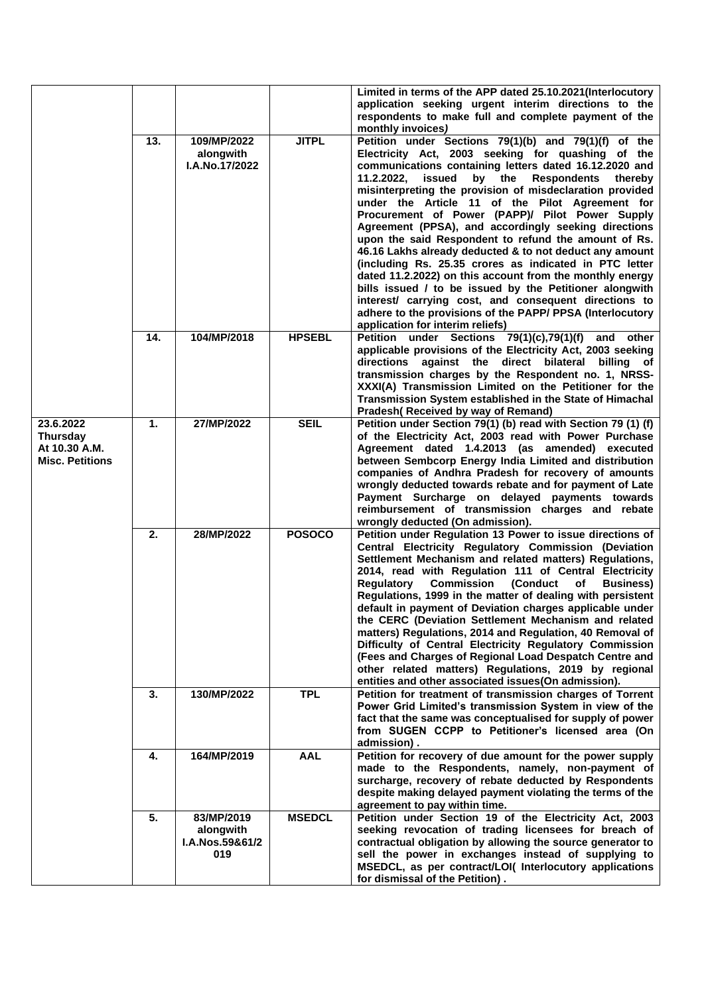|                                                                         |     |                                                   |               | Limited in terms of the APP dated 25.10.2021(Interlocutory<br>application seeking urgent interim directions to the<br>respondents to make full and complete payment of the<br>monthly invoices)                                                                                                                                                                                                                                                                                                                                                                                                                                                                                                                                                                                                                                                                                                                                |
|-------------------------------------------------------------------------|-----|---------------------------------------------------|---------------|--------------------------------------------------------------------------------------------------------------------------------------------------------------------------------------------------------------------------------------------------------------------------------------------------------------------------------------------------------------------------------------------------------------------------------------------------------------------------------------------------------------------------------------------------------------------------------------------------------------------------------------------------------------------------------------------------------------------------------------------------------------------------------------------------------------------------------------------------------------------------------------------------------------------------------|
|                                                                         | 13. | 109/MP/2022<br>alongwith<br>I.A.No.17/2022        | <b>JITPL</b>  | Petition under Sections 79(1)(b) and 79(1)(f) of the<br>Electricity Act, 2003 seeking for quashing of the<br>communications containing letters dated 16.12.2020 and<br>11.2.2022,<br>issued<br>by the<br><b>Respondents</b><br>thereby<br>misinterpreting the provision of misdeclaration provided<br>under the Article 11 of the Pilot Agreement for<br>Procurement of Power (PAPP)/ Pilot Power Supply<br>Agreement (PPSA), and accordingly seeking directions<br>upon the said Respondent to refund the amount of Rs.<br>46.16 Lakhs already deducted & to not deduct any amount<br>(including Rs. 25.35 crores as indicated in PTC letter<br>dated 11.2.2022) on this account from the monthly energy<br>bills issued / to be issued by the Petitioner alongwith<br>interest/ carrying cost, and consequent directions to<br>adhere to the provisions of the PAPP/ PPSA (Interlocutory<br>application for interim reliefs) |
|                                                                         | 14. | 104/MP/2018                                       | <b>HPSEBL</b> | Petition under Sections 79(1)(c),79(1)(f)<br>and other<br>applicable provisions of the Electricity Act, 2003 seeking<br>directions against the direct bilateral billing of<br>transmission charges by the Respondent no. 1, NRSS-<br>XXXI(A) Transmission Limited on the Petitioner for the<br>Transmission System established in the State of Himachal<br>Pradesh (Received by way of Remand)                                                                                                                                                                                                                                                                                                                                                                                                                                                                                                                                 |
| 23.6.2022<br><b>Thursday</b><br>At 10.30 A.M.<br><b>Misc. Petitions</b> | 1.  | 27/MP/2022                                        | <b>SEIL</b>   | Petition under Section 79(1) (b) read with Section 79 (1) (f)<br>of the Electricity Act, 2003 read with Power Purchase<br>Agreement dated 1.4.2013 (as amended) executed<br>between Sembcorp Energy India Limited and distribution<br>companies of Andhra Pradesh for recovery of amounts<br>wrongly deducted towards rebate and for payment of Late<br>Payment Surcharge on delayed payments towards<br>reimbursement of transmission charges and rebate<br>wrongly deducted (On admission).                                                                                                                                                                                                                                                                                                                                                                                                                                  |
|                                                                         | 2.  | 28/MP/2022                                        | <b>POSOCO</b> | Petition under Regulation 13 Power to issue directions of<br>Central Electricity Regulatory Commission (Deviation<br>Settlement Mechanism and related matters) Regulations,<br>2014, read with Regulation 111 of Central Electricity<br>Regulatory<br><b>Commission (Conduct</b><br><b>Business</b> )<br>of<br>Regulations, 1999 in the matter of dealing with persistent<br>default in payment of Deviation charges applicable under<br>the CERC (Deviation Settlement Mechanism and related<br>matters) Regulations, 2014 and Regulation, 40 Removal of<br>Difficulty of Central Electricity Regulatory Commission<br>(Fees and Charges of Regional Load Despatch Centre and<br>other related matters) Regulations, 2019 by regional<br>entities and other associated issues(On admission).                                                                                                                                  |
|                                                                         | 3.  | 130/MP/2022                                       | <b>TPL</b>    | Petition for treatment of transmission charges of Torrent<br>Power Grid Limited's transmission System in view of the<br>fact that the same was conceptualised for supply of power<br>from SUGEN CCPP to Petitioner's licensed area (On<br>admission).                                                                                                                                                                                                                                                                                                                                                                                                                                                                                                                                                                                                                                                                          |
|                                                                         | 4.  | 164/MP/2019                                       | <b>AAL</b>    | Petition for recovery of due amount for the power supply<br>made to the Respondents, namely, non-payment of<br>surcharge, recovery of rebate deducted by Respondents<br>despite making delayed payment violating the terms of the<br>agreement to pay within time.                                                                                                                                                                                                                                                                                                                                                                                                                                                                                                                                                                                                                                                             |
|                                                                         | 5.  | 83/MP/2019<br>alongwith<br>I.A.Nos.59&61/2<br>019 | <b>MSEDCL</b> | Petition under Section 19 of the Electricity Act, 2003<br>seeking revocation of trading licensees for breach of<br>contractual obligation by allowing the source generator to<br>sell the power in exchanges instead of supplying to<br>MSEDCL, as per contract/LOI( Interlocutory applications<br>for dismissal of the Petition).                                                                                                                                                                                                                                                                                                                                                                                                                                                                                                                                                                                             |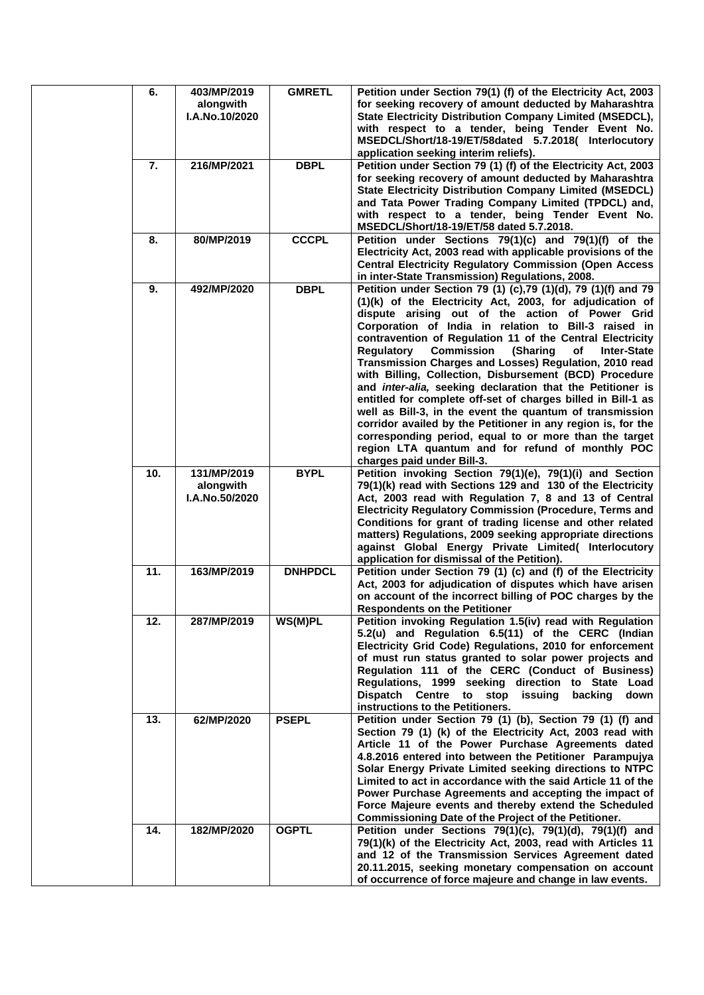| 6.  | 403/MP/2019<br>alongwith<br>I.A.No.10/2020 | <b>GMRETL</b>  | Petition under Section 79(1) (f) of the Electricity Act, 2003<br>for seeking recovery of amount deducted by Maharashtra<br>State Electricity Distribution Company Limited (MSEDCL),<br>with respect to a tender, being Tender Event No.<br>MSEDCL/Short/18-19/ET/58dated 5.7.2018( Interlocutory<br>application seeking interim reliefs).                                                                                                                                                                                                                                                                                                                                                                                                                                                                                                                                                                      |
|-----|--------------------------------------------|----------------|----------------------------------------------------------------------------------------------------------------------------------------------------------------------------------------------------------------------------------------------------------------------------------------------------------------------------------------------------------------------------------------------------------------------------------------------------------------------------------------------------------------------------------------------------------------------------------------------------------------------------------------------------------------------------------------------------------------------------------------------------------------------------------------------------------------------------------------------------------------------------------------------------------------|
| 7.  | 216/MP/2021                                | <b>DBPL</b>    | Petition under Section 79 (1) (f) of the Electricity Act, 2003<br>for seeking recovery of amount deducted by Maharashtra<br><b>State Electricity Distribution Company Limited (MSEDCL)</b><br>and Tata Power Trading Company Limited (TPDCL) and,<br>with respect to a tender, being Tender Event No.<br>MSEDCL/Short/18-19/ET/58 dated 5.7.2018.                                                                                                                                                                                                                                                                                                                                                                                                                                                                                                                                                              |
| 8.  | 80/MP/2019                                 | <b>CCCPL</b>   | Petition under Sections 79(1)(c) and 79(1)(f) of the<br>Electricity Act, 2003 read with applicable provisions of the<br><b>Central Electricity Regulatory Commission (Open Access</b><br>in inter-State Transmission) Regulations, 2008.                                                                                                                                                                                                                                                                                                                                                                                                                                                                                                                                                                                                                                                                       |
| 9.  | 492/MP/2020                                | <b>DBPL</b>    | Petition under Section 79 (1) (c), 79 (1)(d), 79 (1)(f) and 79<br>(1)(k) of the Electricity Act, 2003, for adjudication of<br>dispute arising out of the action of Power Grid<br>Corporation of India in relation to Bill-3 raised in<br>contravention of Regulation 11 of the Central Electricity<br>(Sharing<br><b>Regulatory</b><br><b>Commission</b><br>οf<br><b>Inter-State</b><br>Transmission Charges and Losses) Regulation, 2010 read<br>with Billing, Collection, Disbursement (BCD) Procedure<br>and inter-alia, seeking declaration that the Petitioner is<br>entitled for complete off-set of charges billed in Bill-1 as<br>well as Bill-3, in the event the quantum of transmission<br>corridor availed by the Petitioner in any region is, for the<br>corresponding period, equal to or more than the target<br>region LTA quantum and for refund of monthly POC<br>charges paid under Bill-3. |
| 10. | 131/MP/2019<br>alongwith<br>I.A.No.50/2020 | <b>BYPL</b>    | Petition invoking Section 79(1)(e), 79(1)(i) and Section<br>79(1)(k) read with Sections 129 and 130 of the Electricity<br>Act, 2003 read with Regulation 7, 8 and 13 of Central<br><b>Electricity Regulatory Commission (Procedure, Terms and</b><br>Conditions for grant of trading license and other related<br>matters) Regulations, 2009 seeking appropriate directions<br>against Global Energy Private Limited( Interlocutory<br>application for dismissal of the Petition).                                                                                                                                                                                                                                                                                                                                                                                                                             |
| 11. | 163/MP/2019                                | <b>DNHPDCL</b> | Petition under Section 79 (1) (c) and (f) of the Electricity<br>Act, 2003 for adjudication of disputes which have arisen<br>on account of the incorrect billing of POC charges by the<br><b>Respondents on the Petitioner</b>                                                                                                                                                                                                                                                                                                                                                                                                                                                                                                                                                                                                                                                                                  |
| 12. | 287/MP/2019                                | WS(M)PL        | Petition invoking Regulation 1.5(iv) read with Regulation<br>5.2(u) and Regulation 6.5(11) of the CERC (Indian<br>Electricity Grid Code) Regulations, 2010 for enforcement<br>of must run status granted to solar power projects and<br>Regulation 111 of the CERC (Conduct of Business)<br>Regulations, 1999 seeking direction to State Load<br>Dispatch Centre to stop issuing<br>backing<br>down<br>instructions to the Petitioners.                                                                                                                                                                                                                                                                                                                                                                                                                                                                        |
| 13. | 62/MP/2020                                 | <b>PSEPL</b>   | Petition under Section 79 (1) (b), Section 79 (1) (f) and<br>Section 79 (1) (k) of the Electricity Act, 2003 read with<br>Article 11 of the Power Purchase Agreements dated<br>4.8.2016 entered into between the Petitioner Parampujya<br>Solar Energy Private Limited seeking directions to NTPC<br>Limited to act in accordance with the said Article 11 of the<br>Power Purchase Agreements and accepting the impact of<br>Force Majeure events and thereby extend the Scheduled<br>Commissioning Date of the Project of the Petitioner.                                                                                                                                                                                                                                                                                                                                                                    |
| 14. | 182/MP/2020                                | <b>OGPTL</b>   | Petition under Sections 79(1)(c), 79(1)(d), 79(1)(f) and<br>79(1)(k) of the Electricity Act, 2003, read with Articles 11<br>and 12 of the Transmission Services Agreement dated<br>20.11.2015, seeking monetary compensation on account<br>of occurrence of force majeure and change in law events.                                                                                                                                                                                                                                                                                                                                                                                                                                                                                                                                                                                                            |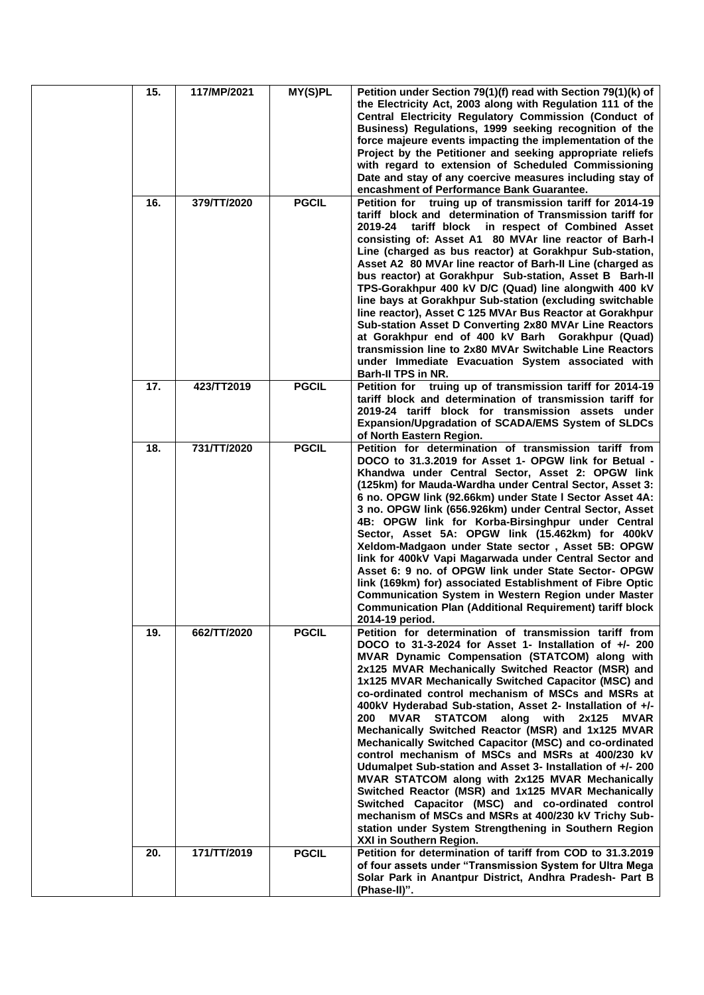| 15. | 117/MP/2021 | MY(S)PL      | Petition under Section 79(1)(f) read with Section 79(1)(k) of<br>the Electricity Act, 2003 along with Regulation 111 of the<br>Central Electricity Regulatory Commission (Conduct of<br>Business) Regulations, 1999 seeking recognition of the<br>force majeure events impacting the implementation of the<br>Project by the Petitioner and seeking appropriate reliefs<br>with regard to extension of Scheduled Commissioning<br>Date and stay of any coercive measures including stay of<br>encashment of Performance Bank Guarantee.                                                                                                                                                                                                                                                                                                                                                                                                                                                                  |
|-----|-------------|--------------|----------------------------------------------------------------------------------------------------------------------------------------------------------------------------------------------------------------------------------------------------------------------------------------------------------------------------------------------------------------------------------------------------------------------------------------------------------------------------------------------------------------------------------------------------------------------------------------------------------------------------------------------------------------------------------------------------------------------------------------------------------------------------------------------------------------------------------------------------------------------------------------------------------------------------------------------------------------------------------------------------------|
| 16. | 379/TT/2020 | <b>PGCIL</b> | Petition for truing up of transmission tariff for 2014-19<br>tariff block and determination of Transmission tariff for<br>tariff block in respect of Combined Asset<br>2019-24<br>consisting of: Asset A1 80 MVAr line reactor of Barh-I<br>Line (charged as bus reactor) at Gorakhpur Sub-station,<br>Asset A2 80 MVAr line reactor of Barh-II Line (charged as<br>bus reactor) at Gorakhpur Sub-station, Asset B Barh-II<br>TPS-Gorakhpur 400 kV D/C (Quad) line alongwith 400 kV<br>line bays at Gorakhpur Sub-station (excluding switchable<br>line reactor), Asset C 125 MVAr Bus Reactor at Gorakhpur<br>Sub-station Asset D Converting 2x80 MVAr Line Reactors<br>at Gorakhpur end of 400 kV Barh Gorakhpur (Quad)<br>transmission line to 2x80 MVAr Switchable Line Reactors<br>under Immediate Evacuation System associated with<br>Barh-II TPS in NR.                                                                                                                                          |
| 17. | 423/TT2019  | <b>PGCIL</b> | Petition for truing up of transmission tariff for 2014-19<br>tariff block and determination of transmission tariff for<br>2019-24 tariff block for transmission assets under<br>Expansion/Upgradation of SCADA/EMS System of SLDCs<br>of North Eastern Region.                                                                                                                                                                                                                                                                                                                                                                                                                                                                                                                                                                                                                                                                                                                                           |
| 18. | 731/TT/2020 | <b>PGCIL</b> | Petition for determination of transmission tariff from<br>DOCO to 31.3.2019 for Asset 1- OPGW link for Betual -<br>Khandwa under Central Sector, Asset 2: OPGW link<br>(125km) for Mauda-Wardha under Central Sector, Asset 3:<br>6 no. OPGW link (92.66km) under State I Sector Asset 4A:<br>3 no. OPGW link (656.926km) under Central Sector, Asset<br>4B: OPGW link for Korba-Birsinghpur under Central<br>Sector, Asset 5A: OPGW link (15.462km) for 400kV<br>Xeldom-Madgaon under State sector, Asset 5B: OPGW<br>link for 400kV Vapi Magarwada under Central Sector and<br>Asset 6: 9 no. of OPGW link under State Sector- OPGW<br>link (169km) for) associated Establishment of Fibre Optic<br>Communication System in Western Region under Master<br><b>Communication Plan (Additional Requirement) tariff block</b><br>2014-19 period.                                                                                                                                                          |
| 19. | 662/TT/2020 | <b>PGCIL</b> | Petition for determination of transmission tariff from<br>DOCO to 31-3-2024 for Asset 1- Installation of $+/- 200$<br>MVAR Dynamic Compensation (STATCOM) along with<br>2x125 MVAR Mechanically Switched Reactor (MSR) and<br>1x125 MVAR Mechanically Switched Capacitor (MSC) and<br>co-ordinated control mechanism of MSCs and MSRs at<br>400kV Hyderabad Sub-station, Asset 2- Installation of +/-<br>MVAR STATCOM along with 2x125<br>200<br><b>MVAR</b><br>Mechanically Switched Reactor (MSR) and 1x125 MVAR<br>Mechanically Switched Capacitor (MSC) and co-ordinated<br>control mechanism of MSCs and MSRs at 400/230 kV<br>Udumalpet Sub-station and Asset 3- Installation of +/- 200<br>MVAR STATCOM along with 2x125 MVAR Mechanically<br>Switched Reactor (MSR) and 1x125 MVAR Mechanically<br>Switched Capacitor (MSC) and co-ordinated control<br>mechanism of MSCs and MSRs at 400/230 kV Trichy Sub-<br>station under System Strengthening in Southern Region<br>XXI in Southern Region. |
| 20. | 171/TT/2019 | <b>PGCIL</b> | Petition for determination of tariff from COD to 31.3.2019<br>of four assets under "Transmission System for Ultra Mega<br>Solar Park in Anantpur District, Andhra Pradesh- Part B<br>(Phase-II)".                                                                                                                                                                                                                                                                                                                                                                                                                                                                                                                                                                                                                                                                                                                                                                                                        |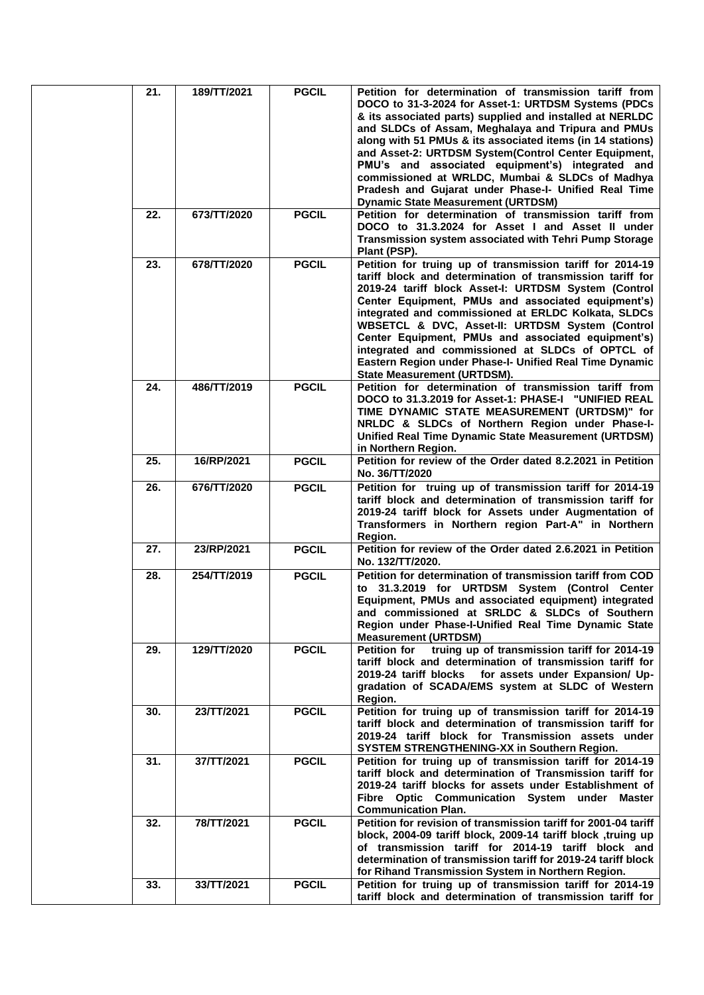| 21. | 189/TT/2021 | <b>PGCIL</b> | Petition for determination of transmission tariff from<br>DOCO to 31-3-2024 for Asset-1: URTDSM Systems (PDCs<br>& its associated parts) supplied and installed at NERLDC<br>and SLDCs of Assam, Meghalaya and Tripura and PMUs<br>along with 51 PMUs & its associated items (in 14 stations)<br>and Asset-2: URTDSM System(Control Center Equipment,<br>PMU's and associated equipment's) integrated and<br>commissioned at WRLDC, Mumbai & SLDCs of Madhya<br>Pradesh and Gujarat under Phase-I- Unified Real Time<br><b>Dynamic State Measurement (URTDSM)</b> |
|-----|-------------|--------------|-------------------------------------------------------------------------------------------------------------------------------------------------------------------------------------------------------------------------------------------------------------------------------------------------------------------------------------------------------------------------------------------------------------------------------------------------------------------------------------------------------------------------------------------------------------------|
| 22. | 673/TT/2020 | <b>PGCIL</b> | Petition for determination of transmission tariff from<br>DOCO to 31.3.2024 for Asset I and Asset II under<br>Transmission system associated with Tehri Pump Storage<br>Plant (PSP).                                                                                                                                                                                                                                                                                                                                                                              |
| 23. | 678/TT/2020 | <b>PGCIL</b> | Petition for truing up of transmission tariff for 2014-19<br>tariff block and determination of transmission tariff for<br>2019-24 tariff block Asset-I: URTDSM System (Control<br>Center Equipment, PMUs and associated equipment's)<br>integrated and commissioned at ERLDC Kolkata, SLDCs<br>WBSETCL & DVC, Asset-II: URTDSM System (Control<br>Center Equipment, PMUs and associated equipment's)<br>integrated and commissioned at SLDCs of OPTCL of<br>Eastern Region under Phase-I- Unified Real Time Dynamic<br><b>State Measurement (URTDSM).</b>         |
| 24. | 486/TT/2019 | <b>PGCIL</b> | Petition for determination of transmission tariff from<br>DOCO to 31.3.2019 for Asset-1: PHASE-I "UNIFIED REAL<br>TIME DYNAMIC STATE MEASUREMENT (URTDSM)" for<br>NRLDC & SLDCs of Northern Region under Phase-I-<br>Unified Real Time Dynamic State Measurement (URTDSM)<br>in Northern Region.                                                                                                                                                                                                                                                                  |
| 25. | 16/RP/2021  | <b>PGCIL</b> | Petition for review of the Order dated 8.2.2021 in Petition<br>No. 36/TT/2020                                                                                                                                                                                                                                                                                                                                                                                                                                                                                     |
| 26. | 676/TT/2020 | <b>PGCIL</b> | Petition for truing up of transmission tariff for 2014-19<br>tariff block and determination of transmission tariff for<br>2019-24 tariff block for Assets under Augmentation of<br>Transformers in Northern region Part-A" in Northern<br>Region.                                                                                                                                                                                                                                                                                                                 |
| 27. | 23/RP/2021  | <b>PGCIL</b> | Petition for review of the Order dated 2.6.2021 in Petition<br>No. 132/TT/2020.                                                                                                                                                                                                                                                                                                                                                                                                                                                                                   |
| 28. | 254/TT/2019 | <b>PGCIL</b> | Petition for determination of transmission tariff from COD<br>to 31.3.2019 for URTDSM System (Control Center<br>Equipment, PMUs and associated equipment) integrated<br>and commissioned at SRLDC & SLDCs of Southern<br>Region under Phase-I-Unified Real Time Dynamic State<br><b>Measurement (URTDSM)</b>                                                                                                                                                                                                                                                      |
| 29. | 129/TT/2020 | <b>PGCIL</b> | truing up of transmission tariff for 2014-19<br><b>Petition for</b><br>tariff block and determination of transmission tariff for<br>2019-24 tariff blocks for assets under Expansion/ Up-<br>gradation of SCADA/EMS system at SLDC of Western<br>Region.                                                                                                                                                                                                                                                                                                          |
| 30. | 23/TT/2021  | <b>PGCIL</b> | Petition for truing up of transmission tariff for 2014-19<br>tariff block and determination of transmission tariff for<br>2019-24 tariff block for Transmission assets under<br>SYSTEM STRENGTHENING-XX in Southern Region.                                                                                                                                                                                                                                                                                                                                       |
| 31. | 37/TT/2021  | <b>PGCIL</b> | Petition for truing up of transmission tariff for 2014-19<br>tariff block and determination of Transmission tariff for<br>2019-24 tariff blocks for assets under Establishment of<br>Fibre Optic Communication System under Master<br><b>Communication Plan.</b>                                                                                                                                                                                                                                                                                                  |
| 32. | 78/TT/2021  | <b>PGCIL</b> | Petition for revision of transmission tariff for 2001-04 tariff<br>block, 2004-09 tariff block, 2009-14 tariff block, truing up<br>of transmission tariff for 2014-19 tariff block and<br>determination of transmission tariff for 2019-24 tariff block<br>for Rihand Transmission System in Northern Region.                                                                                                                                                                                                                                                     |
| 33. | 33/TT/2021  | <b>PGCIL</b> | Petition for truing up of transmission tariff for 2014-19<br>tariff block and determination of transmission tariff for                                                                                                                                                                                                                                                                                                                                                                                                                                            |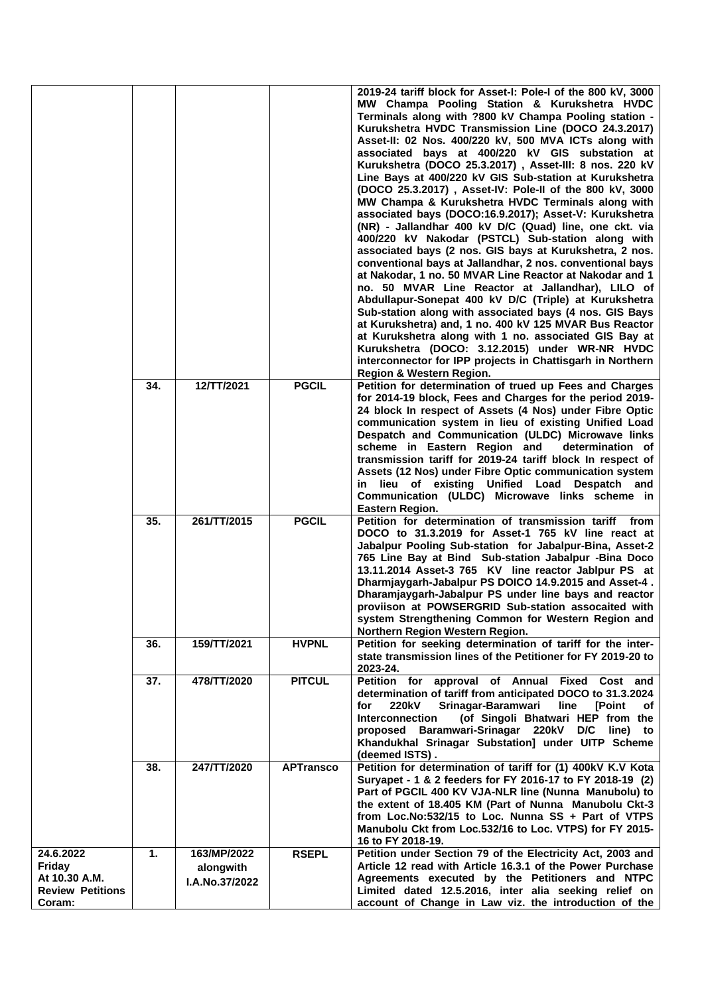|                                                                           |     |                                                   |                  | 2019-24 tariff block for Asset-I: Pole-I of the 800 kV, 3000<br>MW Champa Pooling Station & Kurukshetra HVDC<br>Terminals along with ?800 kV Champa Pooling station -<br>Kurukshetra HVDC Transmission Line (DOCO 24.3.2017)<br>Asset-II: 02 Nos. 400/220 kV, 500 MVA ICTs along with<br>associated bays at 400/220 kV GIS substation at<br>Kurukshetra (DOCO 25.3.2017), Asset-III: 8 nos. 220 kV<br>Line Bays at 400/220 kV GIS Sub-station at Kurukshetra<br>(DOCO 25.3.2017), Asset-IV: Pole-II of the 800 kV, 3000<br>MW Champa & Kurukshetra HVDC Terminals along with<br>associated bays (DOCO:16.9.2017); Asset-V: Kurukshetra<br>(NR) - Jallandhar 400 kV D/C (Quad) line, one ckt. via<br>400/220 kV Nakodar (PSTCL) Sub-station along with<br>associated bays (2 nos. GIS bays at Kurukshetra, 2 nos.<br>conventional bays at Jallandhar, 2 nos. conventional bays<br>at Nakodar, 1 no. 50 MVAR Line Reactor at Nakodar and 1<br>no. 50 MVAR Line Reactor at Jallandhar), LILO of<br>Abdullapur-Sonepat 400 kV D/C (Triple) at Kurukshetra<br>Sub-station along with associated bays (4 nos. GIS Bays<br>at Kurukshetra) and, 1 no. 400 kV 125 MVAR Bus Reactor<br>at Kurukshetra along with 1 no. associated GIS Bay at<br>Kurukshetra (DOCO: 3.12.2015) under WR-NR HVDC<br>interconnector for IPP projects in Chattisgarh in Northern<br>Region & Western Region. |
|---------------------------------------------------------------------------|-----|---------------------------------------------------|------------------|---------------------------------------------------------------------------------------------------------------------------------------------------------------------------------------------------------------------------------------------------------------------------------------------------------------------------------------------------------------------------------------------------------------------------------------------------------------------------------------------------------------------------------------------------------------------------------------------------------------------------------------------------------------------------------------------------------------------------------------------------------------------------------------------------------------------------------------------------------------------------------------------------------------------------------------------------------------------------------------------------------------------------------------------------------------------------------------------------------------------------------------------------------------------------------------------------------------------------------------------------------------------------------------------------------------------------------------------------------------------------------|
|                                                                           | 34. | 12/TT/2021                                        | <b>PGCIL</b>     | Petition for determination of trued up Fees and Charges<br>for 2014-19 block, Fees and Charges for the period 2019-<br>24 block In respect of Assets (4 Nos) under Fibre Optic<br>communication system in lieu of existing Unified Load<br>Despatch and Communication (ULDC) Microwave links<br>scheme in Eastern Region and<br>determination of<br>transmission tariff for 2019-24 tariff block In respect of<br>Assets (12 Nos) under Fibre Optic communication system<br>in lieu of existing Unified Load Despatch and<br>Communication (ULDC) Microwave links scheme in<br>Eastern Region.                                                                                                                                                                                                                                                                                                                                                                                                                                                                                                                                                                                                                                                                                                                                                                                  |
|                                                                           | 35. | 261/TT/2015                                       | <b>PGCIL</b>     | Petition for determination of transmission tariff from<br>DOCO to 31.3.2019 for Asset-1 765 kV line react at<br>Jabalpur Pooling Sub-station for Jabalpur-Bina, Asset-2<br>765 Line Bay at Bind Sub-station Jabalpur -Bina Doco<br>13.11.2014 Asset-3 765 KV line reactor Jablpur PS at<br>Dharmjaygarh-Jabalpur PS DOICO 14.9.2015 and Asset-4.<br>Dharamjaygarh-Jabalpur PS under line bays and reactor<br>proviison at POWSERGRID Sub-station assocaited with<br>system Strengthening Common for Western Region and<br>Northern Region Western Region.                                                                                                                                                                                                                                                                                                                                                                                                                                                                                                                                                                                                                                                                                                                                                                                                                       |
|                                                                           | 36. | 159/TT/2021                                       | <b>HVPNL</b>     | Petition for seeking determination of tariff for the inter-<br>state transmission lines of the Petitioner for FY 2019-20 to<br>2023-24.                                                                                                                                                                                                                                                                                                                                                                                                                                                                                                                                                                                                                                                                                                                                                                                                                                                                                                                                                                                                                                                                                                                                                                                                                                         |
|                                                                           | 37. | 478/TT/2020                                       | <b>PITCUL</b>    | Petition for approval of Annual Fixed Cost and<br>determination of tariff from anticipated DOCO to 31.3.2024<br>Srinagar-Baramwari<br>for<br>220kV<br>line<br><b>[Point</b><br>оf<br>(of Singoli Bhatwari HEP from the<br><b>Interconnection</b><br>proposed Baramwari-Srinagar 220kV D/C<br>line)<br>to<br>Khandukhal Srinagar Substation] under UITP Scheme<br>(deemed ISTS).                                                                                                                                                                                                                                                                                                                                                                                                                                                                                                                                                                                                                                                                                                                                                                                                                                                                                                                                                                                                 |
|                                                                           | 38. | 247/TT/2020                                       | <b>APTransco</b> | Petition for determination of tariff for (1) 400kV K.V Kota<br>Suryapet - 1 & 2 feeders for FY 2016-17 to FY 2018-19 (2)<br>Part of PGCIL 400 KV VJA-NLR line (Nunna Manubolu) to<br>the extent of 18.405 KM (Part of Nunna Manubolu Ckt-3<br>from Loc.No:532/15 to Loc. Nunna SS + Part of VTPS<br>Manubolu Ckt from Loc.532/16 to Loc. VTPS) for FY 2015-<br>16 to FY 2018-19.                                                                                                                                                                                                                                                                                                                                                                                                                                                                                                                                                                                                                                                                                                                                                                                                                                                                                                                                                                                                |
| 24.6.2022<br>Friday<br>At 10.30 A.M.<br><b>Review Petitions</b><br>Coram: | 1.  | 163/MP/2022<br>alongwith<br><b>I.A.No.37/2022</b> | <b>RSEPL</b>     | Petition under Section 79 of the Electricity Act, 2003 and<br>Article 12 read with Article 16.3.1 of the Power Purchase<br>Agreements executed by the Petitioners and NTPC<br>Limited dated 12.5.2016, inter alia seeking relief on<br>account of Change in Law viz. the introduction of the                                                                                                                                                                                                                                                                                                                                                                                                                                                                                                                                                                                                                                                                                                                                                                                                                                                                                                                                                                                                                                                                                    |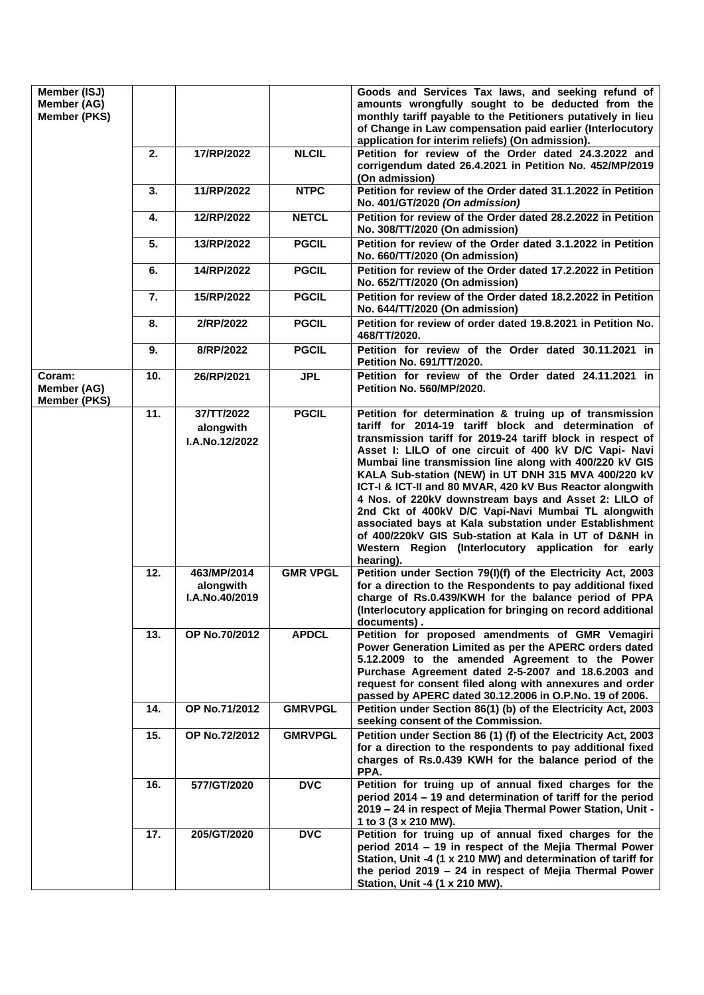| Member (ISJ)<br>Member (AG)<br>Member (PKS)  |     |                                            |                 | Goods and Services Tax laws, and seeking refund of<br>amounts wrongfully sought to be deducted from the<br>monthly tariff payable to the Petitioners putatively in lieu<br>of Change in Law compensation paid earlier (Interlocutory<br>application for interim reliefs) (On admission).                                                                                                                                                                                                                                                                                                                                                                                                                                 |
|----------------------------------------------|-----|--------------------------------------------|-----------------|--------------------------------------------------------------------------------------------------------------------------------------------------------------------------------------------------------------------------------------------------------------------------------------------------------------------------------------------------------------------------------------------------------------------------------------------------------------------------------------------------------------------------------------------------------------------------------------------------------------------------------------------------------------------------------------------------------------------------|
|                                              | 2.  | 17/RP/2022                                 | <b>NLCIL</b>    | Petition for review of the Order dated 24.3.2022 and<br>corrigendum dated 26.4.2021 in Petition No. 452/MP/2019<br>(On admission)                                                                                                                                                                                                                                                                                                                                                                                                                                                                                                                                                                                        |
|                                              | 3.  | 11/RP/2022                                 | <b>NTPC</b>     | Petition for review of the Order dated 31.1.2022 in Petition<br>No. 401/GT/2020 (On admission)                                                                                                                                                                                                                                                                                                                                                                                                                                                                                                                                                                                                                           |
|                                              | 4.  | 12/RP/2022                                 | <b>NETCL</b>    | Petition for review of the Order dated 28.2.2022 in Petition<br>No. 308/TT/2020 (On admission)                                                                                                                                                                                                                                                                                                                                                                                                                                                                                                                                                                                                                           |
|                                              | 5.  | 13/RP/2022                                 | <b>PGCIL</b>    | Petition for review of the Order dated 3.1.2022 in Petition<br>No. 660/TT/2020 (On admission)                                                                                                                                                                                                                                                                                                                                                                                                                                                                                                                                                                                                                            |
|                                              | 6.  | 14/RP/2022                                 | <b>PGCIL</b>    | Petition for review of the Order dated 17.2.2022 in Petition<br>No. 652/TT/2020 (On admission)                                                                                                                                                                                                                                                                                                                                                                                                                                                                                                                                                                                                                           |
|                                              | 7.  | 15/RP/2022                                 | <b>PGCIL</b>    | Petition for review of the Order dated 18.2.2022 in Petition<br>No. 644/TT/2020 (On admission)                                                                                                                                                                                                                                                                                                                                                                                                                                                                                                                                                                                                                           |
|                                              | 8.  | 2/RP/2022                                  | <b>PGCIL</b>    | Petition for review of order dated 19.8.2021 in Petition No.<br>468/TT/2020.                                                                                                                                                                                                                                                                                                                                                                                                                                                                                                                                                                                                                                             |
|                                              | 9.  | 8/RP/2022                                  | <b>PGCIL</b>    | Petition for review of the Order dated 30.11.2021 in<br>Petition No. 691/TT/2020.                                                                                                                                                                                                                                                                                                                                                                                                                                                                                                                                                                                                                                        |
| Coram:<br>Member (AG)<br><b>Member (PKS)</b> | 10. | 26/RP/2021                                 | <b>JPL</b>      | Petition for review of the Order dated 24.11.2021 in<br><b>Petition No. 560/MP/2020.</b>                                                                                                                                                                                                                                                                                                                                                                                                                                                                                                                                                                                                                                 |
|                                              | 11. | 37/TT/2022<br>alongwith<br>I.A.No.12/2022  | <b>PGCIL</b>    | Petition for determination & truing up of transmission<br>tariff for 2014-19 tariff block and determination of<br>transmission tariff for 2019-24 tariff block in respect of<br>Asset I: LILO of one circuit of 400 kV D/C Vapi- Navi<br>Mumbai line transmission line along with 400/220 kV GIS<br>KALA Sub-station (NEW) in UT DNH 315 MVA 400/220 kV<br>ICT-I & ICT-II and 80 MVAR, 420 kV Bus Reactor alongwith<br>4 Nos. of 220kV downstream bays and Asset 2: LILO of<br>2nd Ckt of 400kV D/C Vapi-Navi Mumbai TL alongwith<br>associated bays at Kala substation under Establishment<br>of 400/220kV GIS Sub-station at Kala in UT of D&NH in<br>Western Region (Interlocutory application for early<br>hearing). |
|                                              | 12. | 463/MP/2014<br>alongwith<br>I.A.No.40/2019 | <b>GMR VPGL</b> | Petition under Section 79(I)(f) of the Electricity Act, 2003<br>for a direction to the Respondents to pay additional fixed<br>charge of Rs.0.439/KWH for the balance period of PPA<br>(Interlocutory application for bringing on record additional<br>documents).                                                                                                                                                                                                                                                                                                                                                                                                                                                        |
|                                              | 13. | OP No.70/2012                              | <b>APDCL</b>    | Petition for proposed amendments of GMR Vemagiri<br>Power Generation Limited as per the APERC orders dated<br>5.12.2009 to the amended Agreement to the Power<br>Purchase Agreement dated 2-5-2007 and 18.6.2003 and<br>request for consent filed along with annexures and order<br>passed by APERC dated 30.12.2006 in O.P.No. 19 of 2006.                                                                                                                                                                                                                                                                                                                                                                              |
|                                              | 14. | OP No.71/2012                              | <b>GMRVPGL</b>  | Petition under Section 86(1) (b) of the Electricity Act, 2003<br>seeking consent of the Commission.                                                                                                                                                                                                                                                                                                                                                                                                                                                                                                                                                                                                                      |
|                                              | 15. | OP No.72/2012                              | <b>GMRVPGL</b>  | Petition under Section 86 (1) (f) of the Electricity Act, 2003<br>for a direction to the respondents to pay additional fixed<br>charges of Rs.0.439 KWH for the balance period of the<br>PPA.                                                                                                                                                                                                                                                                                                                                                                                                                                                                                                                            |
|                                              | 16. | 577/GT/2020                                | <b>DVC</b>      | Petition for truing up of annual fixed charges for the<br>period 2014 - 19 and determination of tariff for the period<br>2019 – 24 in respect of Mejia Thermal Power Station, Unit -<br>1 to 3 (3 x 210 MW).                                                                                                                                                                                                                                                                                                                                                                                                                                                                                                             |
|                                              | 17. | 205/GT/2020                                | <b>DVC</b>      | Petition for truing up of annual fixed charges for the<br>period 2014 – 19 in respect of the Mejia Thermal Power<br>Station, Unit -4 (1 x 210 MW) and determination of tariff for<br>the period 2019 - 24 in respect of Mejia Thermal Power<br>Station, Unit -4 (1 x 210 MW).                                                                                                                                                                                                                                                                                                                                                                                                                                            |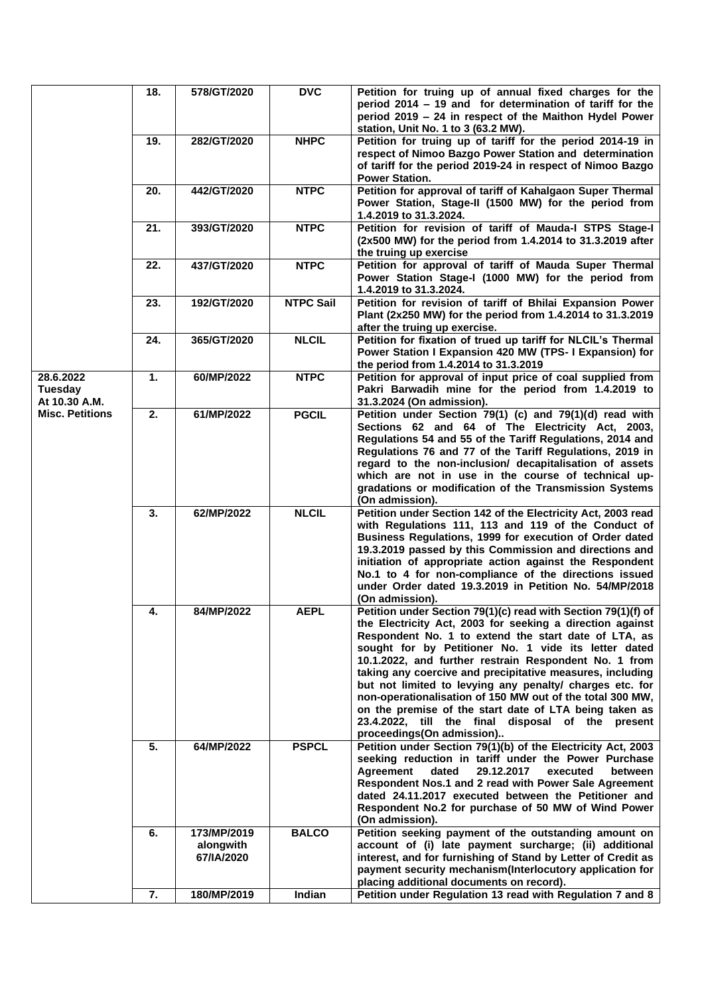|                                       | 18. | 578/GT/2020                            | <b>DVC</b>       | Petition for truing up of annual fixed charges for the<br>period 2014 - 19 and for determination of tariff for the<br>period 2019 – 24 in respect of the Maithon Hydel Power<br>station, Unit No. 1 to 3 (63.2 MW).                                                                                                                                                                                                                                                                                                                                                                                                                   |
|---------------------------------------|-----|----------------------------------------|------------------|---------------------------------------------------------------------------------------------------------------------------------------------------------------------------------------------------------------------------------------------------------------------------------------------------------------------------------------------------------------------------------------------------------------------------------------------------------------------------------------------------------------------------------------------------------------------------------------------------------------------------------------|
|                                       | 19. | 282/GT/2020                            | <b>NHPC</b>      | Petition for truing up of tariff for the period 2014-19 in<br>respect of Nimoo Bazgo Power Station and determination<br>of tariff for the period 2019-24 in respect of Nimoo Bazgo<br><b>Power Station.</b>                                                                                                                                                                                                                                                                                                                                                                                                                           |
|                                       | 20. | 442/GT/2020                            | <b>NTPC</b>      | Petition for approval of tariff of Kahalgaon Super Thermal<br>Power Station, Stage-II (1500 MW) for the period from<br>1.4.2019 to 31.3.2024.                                                                                                                                                                                                                                                                                                                                                                                                                                                                                         |
|                                       | 21. | 393/GT/2020                            | <b>NTPC</b>      | Petition for revision of tariff of Mauda-I STPS Stage-I<br>(2x500 MW) for the period from 1.4.2014 to 31.3.2019 after<br>the truing up exercise                                                                                                                                                                                                                                                                                                                                                                                                                                                                                       |
|                                       | 22. | 437/GT/2020                            | <b>NTPC</b>      | Petition for approval of tariff of Mauda Super Thermal<br>Power Station Stage-I (1000 MW) for the period from<br>1.4.2019 to 31.3.2024.                                                                                                                                                                                                                                                                                                                                                                                                                                                                                               |
|                                       | 23. | 192/GT/2020                            | <b>NTPC Sail</b> | Petition for revision of tariff of Bhilai Expansion Power<br>Plant (2x250 MW) for the period from 1.4.2014 to 31.3.2019<br>after the truing up exercise.                                                                                                                                                                                                                                                                                                                                                                                                                                                                              |
|                                       | 24. | 365/GT/2020                            | <b>NLCIL</b>     | Petition for fixation of trued up tariff for NLCIL's Thermal<br>Power Station I Expansion 420 MW (TPS- I Expansion) for<br>the period from 1.4.2014 to 31.3.2019                                                                                                                                                                                                                                                                                                                                                                                                                                                                      |
| 28.6.2022<br>Tuesday<br>At 10.30 A.M. | 1.  | 60/MP/2022                             | <b>NTPC</b>      | Petition for approval of input price of coal supplied from<br>Pakri Barwadih mine for the period from 1.4.2019 to<br>31.3.2024 (On admission).                                                                                                                                                                                                                                                                                                                                                                                                                                                                                        |
| <b>Misc. Petitions</b>                | 2.  | 61/MP/2022                             | <b>PGCIL</b>     | Petition under Section 79(1) (c) and 79(1)(d) read with<br>Sections 62 and 64 of The Electricity Act, 2003,<br>Regulations 54 and 55 of the Tariff Regulations, 2014 and<br>Regulations 76 and 77 of the Tariff Regulations, 2019 in<br>regard to the non-inclusion/ decapitalisation of assets<br>which are not in use in the course of technical up-<br>gradations or modification of the Transmission Systems<br>(On admission).                                                                                                                                                                                                   |
|                                       | 3.  | 62/MP/2022                             | <b>NLCIL</b>     | Petition under Section 142 of the Electricity Act, 2003 read<br>with Regulations 111, 113 and 119 of the Conduct of<br>Business Regulations, 1999 for execution of Order dated<br>19.3.2019 passed by this Commission and directions and<br>initiation of appropriate action against the Respondent<br>No.1 to 4 for non-compliance of the directions issued<br>under Order dated 19.3.2019 in Petition No. 54/MP/2018<br>(On admission).                                                                                                                                                                                             |
|                                       | 4.  | 84/MP/2022                             | <b>AEPL</b>      | Petition under Section 79(1)(c) read with Section 79(1)(f) of<br>the Electricity Act, 2003 for seeking a direction against<br>Respondent No. 1 to extend the start date of LTA, as<br>sought for by Petitioner No. 1 vide its letter dated<br>10.1.2022, and further restrain Respondent No. 1 from<br>taking any coercive and precipitative measures, including<br>but not limited to levying any penalty/ charges etc. for<br>non-operationalisation of 150 MW out of the total 300 MW,<br>on the premise of the start date of LTA being taken as<br>23.4.2022, till the final disposal of the present<br>proceedings(On admission) |
|                                       | 5.  | 64/MP/2022                             | <b>PSPCL</b>     | Petition under Section 79(1)(b) of the Electricity Act, 2003<br>seeking reduction in tariff under the Power Purchase<br><b>Agreement</b><br>dated<br>29.12.2017<br>executed<br>between<br>Respondent Nos.1 and 2 read with Power Sale Agreement<br>dated 24.11.2017 executed between the Petitioner and<br>Respondent No.2 for purchase of 50 MW of Wind Power<br>(On admission).                                                                                                                                                                                                                                                     |
|                                       | 6.  | 173/MP/2019<br>alongwith<br>67/IA/2020 | <b>BALCO</b>     | Petition seeking payment of the outstanding amount on<br>account of (i) late payment surcharge; (ii) additional<br>interest, and for furnishing of Stand by Letter of Credit as<br>payment security mechanism(Interlocutory application for<br>placing additional documents on record).                                                                                                                                                                                                                                                                                                                                               |
|                                       | 7.  | 180/MP/2019                            | Indian           | Petition under Regulation 13 read with Regulation 7 and 8                                                                                                                                                                                                                                                                                                                                                                                                                                                                                                                                                                             |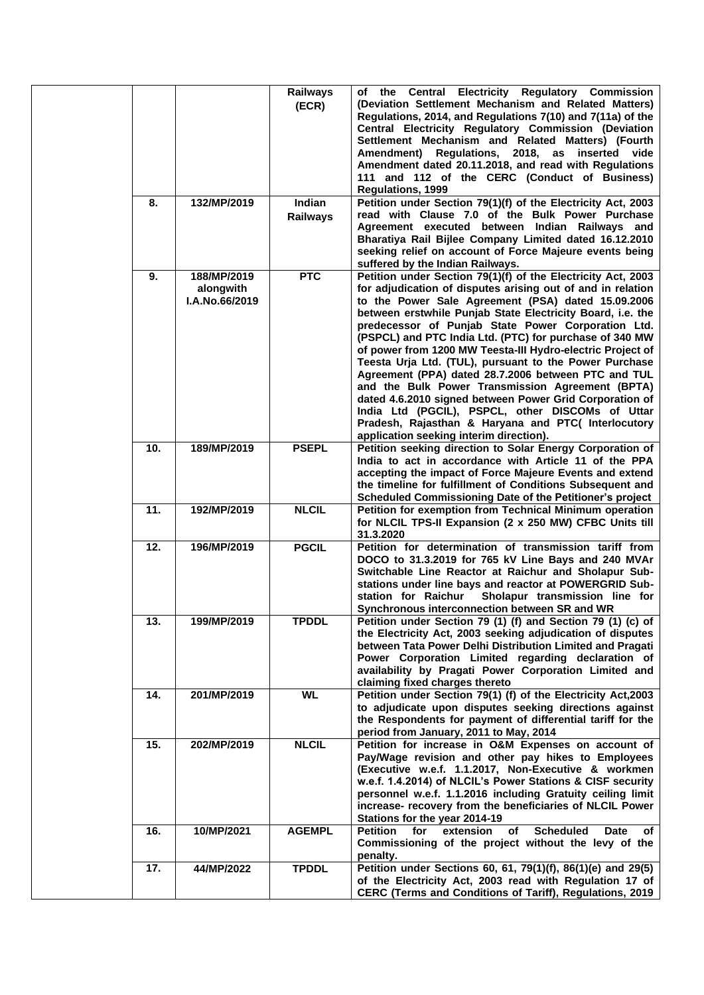|  |     |                                            | Railways<br>(ECR)  | of the Central Electricity Regulatory Commission<br>(Deviation Settlement Mechanism and Related Matters)<br>Regulations, 2014, and Regulations 7(10) and 7(11a) of the<br>Central Electricity Regulatory Commission (Deviation<br>Settlement Mechanism and Related Matters) (Fourth<br>Amendment) Regulations, 2018, as inserted vide<br>Amendment dated 20.11.2018, and read with Regulations<br>111 and 112 of the CERC (Conduct of Business)<br><b>Regulations, 1999</b>                                                                                                                                                                                                                                                                                                                                          |
|--|-----|--------------------------------------------|--------------------|----------------------------------------------------------------------------------------------------------------------------------------------------------------------------------------------------------------------------------------------------------------------------------------------------------------------------------------------------------------------------------------------------------------------------------------------------------------------------------------------------------------------------------------------------------------------------------------------------------------------------------------------------------------------------------------------------------------------------------------------------------------------------------------------------------------------|
|  | 8.  | 132/MP/2019                                | Indian<br>Railways | Petition under Section 79(1)(f) of the Electricity Act, 2003<br>read with Clause 7.0 of the Bulk Power Purchase<br>Agreement executed between Indian Railways and<br>Bharatiya Rail Bijlee Company Limited dated 16.12.2010<br>seeking relief on account of Force Majeure events being<br>suffered by the Indian Railways.                                                                                                                                                                                                                                                                                                                                                                                                                                                                                           |
|  | 9.  | 188/MP/2019<br>alongwith<br>I.A.No.66/2019 | <b>PTC</b>         | Petition under Section 79(1)(f) of the Electricity Act, 2003<br>for adjudication of disputes arising out of and in relation<br>to the Power Sale Agreement (PSA) dated 15.09.2006<br>between erstwhile Punjab State Electricity Board, i.e. the<br>predecessor of Punjab State Power Corporation Ltd.<br>(PSPCL) and PTC India Ltd. (PTC) for purchase of 340 MW<br>of power from 1200 MW Teesta-III Hydro-electric Project of<br>Teesta Urja Ltd. (TUL), pursuant to the Power Purchase<br>Agreement (PPA) dated 28.7.2006 between PTC and TUL<br>and the Bulk Power Transmission Agreement (BPTA)<br>dated 4.6.2010 signed between Power Grid Corporation of<br>India Ltd (PGCIL), PSPCL, other DISCOMs of Uttar<br>Pradesh, Rajasthan & Haryana and PTC( Interlocutory<br>application seeking interim direction). |
|  | 10. | 189/MP/2019                                | <b>PSEPL</b>       | Petition seeking direction to Solar Energy Corporation of<br>India to act in accordance with Article 11 of the PPA<br>accepting the impact of Force Majeure Events and extend<br>the timeline for fulfillment of Conditions Subsequent and<br>Scheduled Commissioning Date of the Petitioner's project                                                                                                                                                                                                                                                                                                                                                                                                                                                                                                               |
|  | 11. | 192/MP/2019                                | <b>NLCIL</b>       | Petition for exemption from Technical Minimum operation<br>for NLCIL TPS-II Expansion (2 x 250 MW) CFBC Units till<br>31.3.2020                                                                                                                                                                                                                                                                                                                                                                                                                                                                                                                                                                                                                                                                                      |
|  | 12. | 196/MP/2019                                | <b>PGCIL</b>       | Petition for determination of transmission tariff from<br>DOCO to 31.3.2019 for 765 kV Line Bays and 240 MVAr<br>Switchable Line Reactor at Raichur and Sholapur Sub-<br>stations under line bays and reactor at POWERGRID Sub-<br>station for Raichur<br>Sholapur transmission line for<br>Synchronous interconnection between SR and WR                                                                                                                                                                                                                                                                                                                                                                                                                                                                            |
|  | 13. | 199/MP/2019                                | <b>TPDDL</b>       | Petition under Section 79 (1) (f) and Section 79 (1) (c) of<br>the Electricity Act, 2003 seeking adjudication of disputes<br>between Tata Power Delhi Distribution Limited and Pragati<br>Power Corporation Limited regarding declaration of<br>availability by Pragati Power Corporation Limited and<br>claiming fixed charges thereto                                                                                                                                                                                                                                                                                                                                                                                                                                                                              |
|  | 14. | 201/MP/2019                                | <b>WL</b>          | Petition under Section 79(1) (f) of the Electricity Act, 2003<br>to adjudicate upon disputes seeking directions against<br>the Respondents for payment of differential tariff for the<br>period from January, 2011 to May, 2014                                                                                                                                                                                                                                                                                                                                                                                                                                                                                                                                                                                      |
|  | 15. | 202/MP/2019                                | <b>NLCIL</b>       | Petition for increase in O&M Expenses on account of<br>Pay/Wage revision and other pay hikes to Employees<br>(Executive w.e.f. 1.1.2017, Non-Executive & workmen<br>w.e.f. 1.4.2014) of NLCIL's Power Stations & CISF security<br>personnel w.e.f. 1.1.2016 including Gratuity ceiling limit<br>increase- recovery from the beneficiaries of NLCIL Power<br>Stations for the year 2014-19                                                                                                                                                                                                                                                                                                                                                                                                                            |
|  | 16. | 10/MP/2021                                 | <b>AGEMPL</b>      | <b>Scheduled</b><br><b>Petition</b><br>extension<br>for<br>of<br><b>Date</b><br>of<br>Commissioning of the project without the levy of the<br>penalty.                                                                                                                                                                                                                                                                                                                                                                                                                                                                                                                                                                                                                                                               |
|  | 17. | 44/MP/2022                                 | <b>TPDDL</b>       | Petition under Sections 60, 61, 79(1)(f), 86(1)(e) and 29(5)<br>of the Electricity Act, 2003 read with Regulation 17 of<br>CERC (Terms and Conditions of Tariff), Regulations, 2019                                                                                                                                                                                                                                                                                                                                                                                                                                                                                                                                                                                                                                  |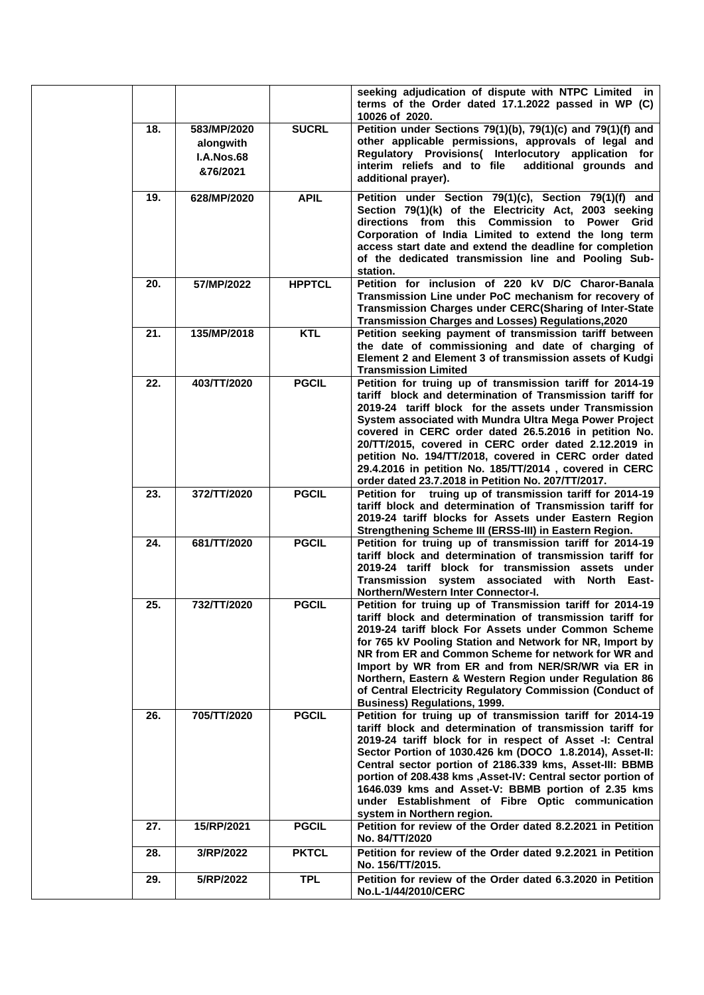|     |                                                           |               | seeking adjudication of dispute with NTPC Limited in<br>terms of the Order dated 17.1.2022 passed in WP (C)<br>10026 of 2020.                                                                                                                                                                                                                                                                                                                                                                                                        |
|-----|-----------------------------------------------------------|---------------|--------------------------------------------------------------------------------------------------------------------------------------------------------------------------------------------------------------------------------------------------------------------------------------------------------------------------------------------------------------------------------------------------------------------------------------------------------------------------------------------------------------------------------------|
| 18. | 583/MP/2020<br>alongwith<br><b>I.A.Nos.68</b><br>&76/2021 | <b>SUCRL</b>  | Petition under Sections 79(1)(b), 79(1)(c) and 79(1)(f) and<br>other applicable permissions, approvals of legal and<br>Regulatory Provisions( Interlocutory application for<br>interim reliefs and to file<br>additional grounds and<br>additional prayer).                                                                                                                                                                                                                                                                          |
| 19. | 628/MP/2020                                               | <b>APIL</b>   | Petition under Section 79(1)(c), Section 79(1)(f) and<br>Section 79(1)(k) of the Electricity Act, 2003 seeking<br>directions from this Commission to Power Grid<br>Corporation of India Limited to extend the long term<br>access start date and extend the deadline for completion<br>of the dedicated transmission line and Pooling Sub-<br>station.                                                                                                                                                                               |
| 20. | 57/MP/2022                                                | <b>HPPTCL</b> | Petition for inclusion of 220 kV D/C Charor-Banala<br>Transmission Line under PoC mechanism for recovery of<br>Transmission Charges under CERC(Sharing of Inter-State<br><b>Transmission Charges and Losses) Regulations, 2020</b>                                                                                                                                                                                                                                                                                                   |
| 21. | 135/MP/2018                                               | <b>KTL</b>    | Petition seeking payment of transmission tariff between<br>the date of commissioning and date of charging of<br>Element 2 and Element 3 of transmission assets of Kudgi<br><b>Transmission Limited</b>                                                                                                                                                                                                                                                                                                                               |
| 22. | 403/TT/2020                                               | <b>PGCIL</b>  | Petition for truing up of transmission tariff for 2014-19<br>tariff block and determination of Transmission tariff for<br>2019-24 tariff block for the assets under Transmission<br>System associated with Mundra Ultra Mega Power Project<br>covered in CERC order dated 26.5.2016 in petition No.<br>20/TT/2015, covered in CERC order dated 2.12.2019 in<br>petition No. 194/TT/2018, covered in CERC order dated<br>29.4.2016 in petition No. 185/TT/2014, covered in CERC<br>order dated 23.7.2018 in Petition No. 207/TT/2017. |
| 23. | 372/TT/2020                                               | <b>PGCIL</b>  | Petition for truing up of transmission tariff for 2014-19<br>tariff block and determination of Transmission tariff for<br>2019-24 tariff blocks for Assets under Eastern Region<br>Strengthening Scheme III (ERSS-III) in Eastern Region.                                                                                                                                                                                                                                                                                            |
| 24. | 681/TT/2020                                               | <b>PGCIL</b>  | Petition for truing up of transmission tariff for 2014-19<br>tariff block and determination of transmission tariff for<br>2019-24 tariff block for transmission assets under<br>Transmission system associated with North East-<br>Northern/Western Inter Connector-I.                                                                                                                                                                                                                                                               |
| 25. | 732/TT/2020                                               | <b>PGCIL</b>  | Petition for truing up of Transmission tariff for 2014-19<br>tariff block and determination of transmission tariff for<br>2019-24 tariff block For Assets under Common Scheme<br>for 765 kV Pooling Station and Network for NR, Import by<br>NR from ER and Common Scheme for network for WR and<br>Import by WR from ER and from NER/SR/WR via ER in<br>Northern, Eastern & Western Region under Regulation 86<br>of Central Electricity Regulatory Commission (Conduct of<br><b>Business) Regulations, 1999.</b>                   |
| 26. | 705/TT/2020                                               | <b>PGCIL</b>  | Petition for truing up of transmission tariff for 2014-19<br>tariff block and determination of transmission tariff for<br>2019-24 tariff block for in respect of Asset -I: Central<br>Sector Portion of 1030.426 km (DOCO 1.8.2014), Asset-II:<br>Central sector portion of 2186.339 kms, Asset-III: BBMB<br>portion of 208.438 kms , Asset-IV: Central sector portion of<br>1646.039 kms and Asset-V: BBMB portion of 2.35 kms<br>under Establishment of Fibre Optic communication<br>system in Northern region.                    |
| 27. | 15/RP/2021                                                | <b>PGCIL</b>  | Petition for review of the Order dated 8.2.2021 in Petition<br>No. 84/TT/2020                                                                                                                                                                                                                                                                                                                                                                                                                                                        |
| 28. | 3/RP/2022                                                 | <b>PKTCL</b>  | Petition for review of the Order dated 9.2.2021 in Petition<br>No. 156/TT/2015.                                                                                                                                                                                                                                                                                                                                                                                                                                                      |
| 29. | 5/RP/2022                                                 | <b>TPL</b>    | Petition for review of the Order dated 6.3.2020 in Petition<br>No.L-1/44/2010/CERC                                                                                                                                                                                                                                                                                                                                                                                                                                                   |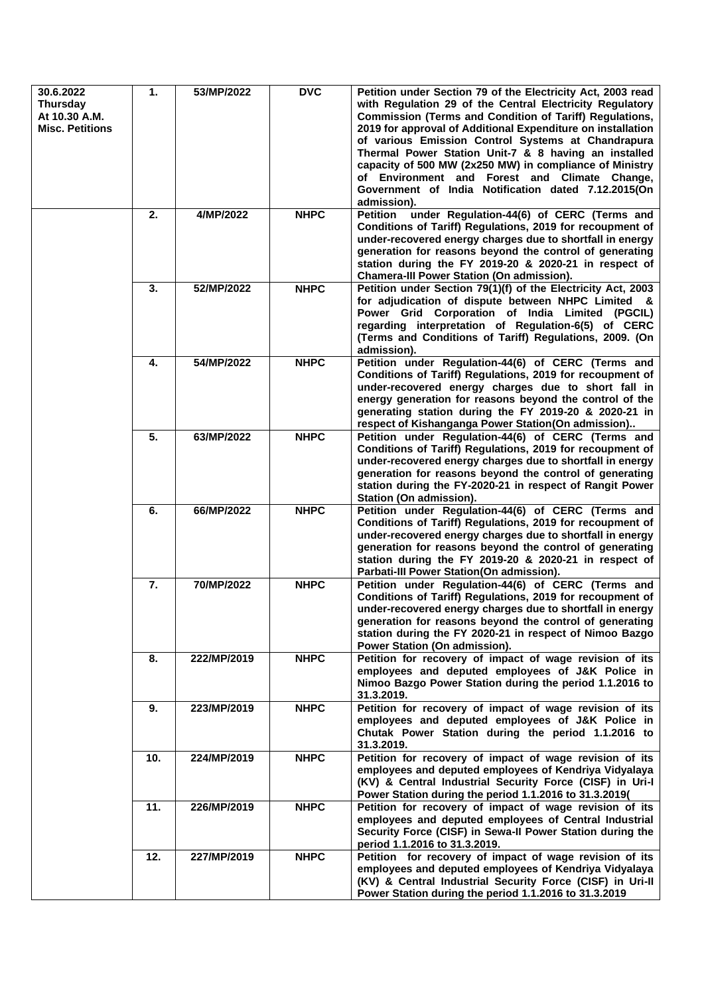| 30.6.2022<br><b>Thursday</b><br>At 10.30 A.M.<br><b>Misc. Petitions</b> | 1.  | 53/MP/2022  | <b>DVC</b>  | Petition under Section 79 of the Electricity Act, 2003 read<br>with Regulation 29 of the Central Electricity Regulatory<br><b>Commission (Terms and Condition of Tariff) Regulations,</b><br>2019 for approval of Additional Expenditure on installation<br>of various Emission Control Systems at Chandrapura<br>Thermal Power Station Unit-7 & 8 having an installed<br>capacity of 500 MW (2x250 MW) in compliance of Ministry<br>of Environment and Forest and Climate Change,<br>Government of India Notification dated 7.12.2015(On<br>admission). |
|-------------------------------------------------------------------------|-----|-------------|-------------|----------------------------------------------------------------------------------------------------------------------------------------------------------------------------------------------------------------------------------------------------------------------------------------------------------------------------------------------------------------------------------------------------------------------------------------------------------------------------------------------------------------------------------------------------------|
|                                                                         | 2.  | 4/MP/2022   | <b>NHPC</b> | under Regulation-44(6) of CERC (Terms and<br><b>Petition</b><br>Conditions of Tariff) Regulations, 2019 for recoupment of<br>under-recovered energy charges due to shortfall in energy<br>generation for reasons beyond the control of generating<br>station during the FY 2019-20 & 2020-21 in respect of<br><b>Chamera-III Power Station (On admission).</b>                                                                                                                                                                                           |
|                                                                         | 3.  | 52/MP/2022  | <b>NHPC</b> | Petition under Section 79(1)(f) of the Electricity Act, 2003<br>for adjudication of dispute between NHPC Limited &<br>Power Grid Corporation of India Limited (PGCIL)<br>regarding interpretation of Regulation-6(5) of CERC<br>(Terms and Conditions of Tariff) Regulations, 2009. (On<br>admission).                                                                                                                                                                                                                                                   |
|                                                                         | 4.  | 54/MP/2022  | <b>NHPC</b> | Petition under Regulation-44(6) of CERC (Terms and<br>Conditions of Tariff) Regulations, 2019 for recoupment of<br>under-recovered energy charges due to short fall in<br>energy generation for reasons beyond the control of the<br>generating station during the FY 2019-20 & 2020-21 in<br>respect of Kishanganga Power Station(On admission)                                                                                                                                                                                                         |
|                                                                         | 5.  | 63/MP/2022  | <b>NHPC</b> | Petition under Regulation-44(6) of CERC (Terms and<br>Conditions of Tariff) Regulations, 2019 for recoupment of<br>under-recovered energy charges due to shortfall in energy<br>generation for reasons beyond the control of generating<br>station during the FY-2020-21 in respect of Rangit Power<br>Station (On admission).                                                                                                                                                                                                                           |
|                                                                         | 6.  | 66/MP/2022  | <b>NHPC</b> | Petition under Regulation-44(6) of CERC (Terms and<br>Conditions of Tariff) Regulations, 2019 for recoupment of<br>under-recovered energy charges due to shortfall in energy<br>generation for reasons beyond the control of generating<br>station during the FY 2019-20 & 2020-21 in respect of<br>Parbati-III Power Station(On admission).                                                                                                                                                                                                             |
|                                                                         | 7.  | 70/MP/2022  | <b>NHPC</b> | Petition under Regulation-44(6) of CERC (Terms and<br>Conditions of Tariff) Regulations, 2019 for recoupment of<br>under-recovered energy charges due to shortfall in energy<br>generation for reasons beyond the control of generating<br>station during the FY 2020-21 in respect of Nimoo Bazgo<br>Power Station (On admission).                                                                                                                                                                                                                      |
|                                                                         | 8.  | 222/MP/2019 | <b>NHPC</b> | Petition for recovery of impact of wage revision of its<br>employees and deputed employees of J&K Police in<br>Nimoo Bazgo Power Station during the period 1.1.2016 to<br>31.3.2019.                                                                                                                                                                                                                                                                                                                                                                     |
|                                                                         | 9.  | 223/MP/2019 | <b>NHPC</b> | Petition for recovery of impact of wage revision of its<br>employees and deputed employees of J&K Police in<br>Chutak Power Station during the period 1.1.2016 to<br>31.3.2019.                                                                                                                                                                                                                                                                                                                                                                          |
|                                                                         | 10. | 224/MP/2019 | <b>NHPC</b> | Petition for recovery of impact of wage revision of its<br>employees and deputed employees of Kendriya Vidyalaya<br>(KV) & Central Industrial Security Force (CISF) in Uri-I<br>Power Station during the period 1.1.2016 to 31.3.2019(                                                                                                                                                                                                                                                                                                                   |
|                                                                         | 11. | 226/MP/2019 | <b>NHPC</b> | Petition for recovery of impact of wage revision of its<br>employees and deputed employees of Central Industrial<br>Security Force (CISF) in Sewa-II Power Station during the<br>period 1.1.2016 to 31.3.2019.                                                                                                                                                                                                                                                                                                                                           |
|                                                                         | 12. | 227/MP/2019 | <b>NHPC</b> | Petition for recovery of impact of wage revision of its<br>employees and deputed employees of Kendriya Vidyalaya<br>(KV) & Central Industrial Security Force (CISF) in Uri-II<br>Power Station during the period 1.1.2016 to 31.3.2019                                                                                                                                                                                                                                                                                                                   |